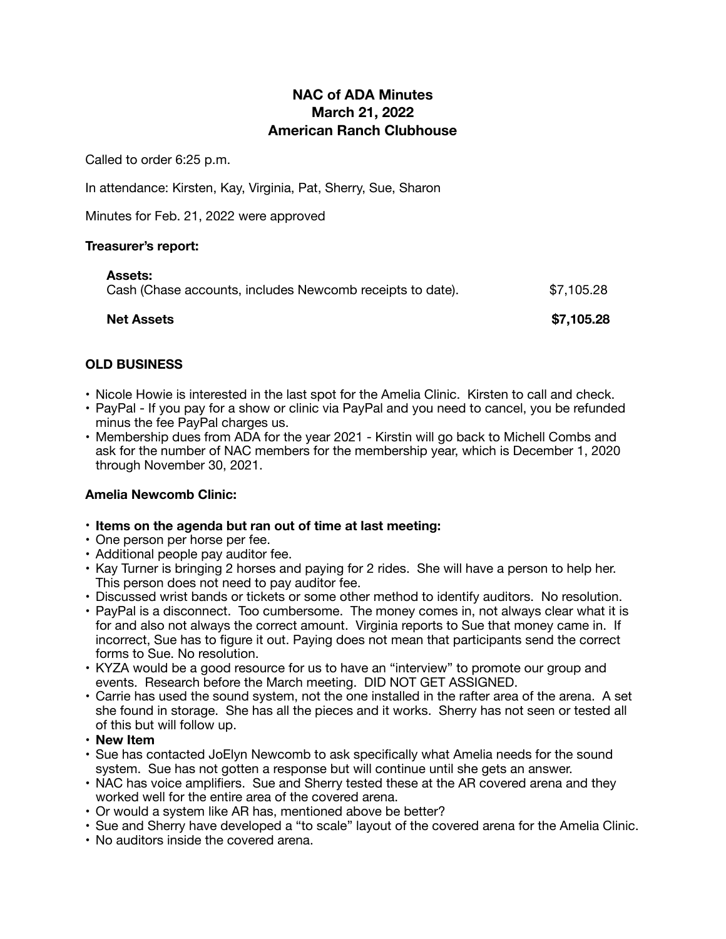# **NAC of ADA Minutes March 21, 2022 American Ranch Clubhouse**

Called to order 6:25 p.m.

In attendance: Kirsten, Kay, Virginia, Pat, Sherry, Sue, Sharon

Minutes for Feb. 21, 2022 were approved

#### **Treasurer's report:**

| <b>Net Assets</b>                                                           | \$7,105.28 |
|-----------------------------------------------------------------------------|------------|
| <b>Assets:</b><br>Cash (Chase accounts, includes Newcomb receipts to date). | \$7,105.28 |

## **OLD BUSINESS**

- Nicole Howie is interested in the last spot for the Amelia Clinic. Kirsten to call and check.
- PayPal If you pay for a show or clinic via PayPal and you need to cancel, you be refunded minus the fee PayPal charges us.
- Membership dues from ADA for the year 2021 Kirstin will go back to Michell Combs and ask for the number of NAC members for the membership year, which is December 1, 2020 through November 30, 2021.

## **Amelia Newcomb Clinic:**

- **Items on the agenda but ran out of time at last meeting:**
- One person per horse per fee.
- Additional people pay auditor fee.
- Kay Turner is bringing 2 horses and paying for 2 rides. She will have a person to help her. This person does not need to pay auditor fee.
- Discussed wrist bands or tickets or some other method to identify auditors. No resolution.
- PayPal is a disconnect. Too cumbersome. The money comes in, not always clear what it is for and also not always the correct amount. Virginia reports to Sue that money came in. If incorrect, Sue has to figure it out. Paying does not mean that participants send the correct forms to Sue. No resolution.
- KYZA would be a good resource for us to have an "interview" to promote our group and events. Research before the March meeting. DID NOT GET ASSIGNED.
- Carrie has used the sound system, not the one installed in the rafter area of the arena. A set she found in storage. She has all the pieces and it works. Sherry has not seen or tested all of this but will follow up.
- **New Item**
- Sue has contacted JoElyn Newcomb to ask specifically what Amelia needs for the sound system. Sue has not gotten a response but will continue until she gets an answer.
- NAC has voice amplifiers. Sue and Sherry tested these at the AR covered arena and they worked well for the entire area of the covered arena.
- Or would a system like AR has, mentioned above be better?
- Sue and Sherry have developed a "to scale" layout of the covered arena for the Amelia Clinic.
- No auditors inside the covered arena.